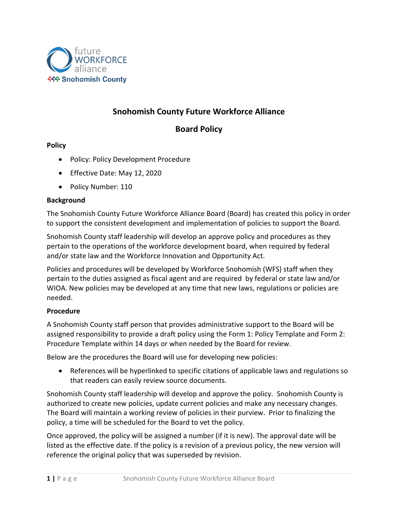

# **Snohomish County Future Workforce Alliance**

## **Board Policy**

#### **Policy**

- Policy: Policy Development Procedure
- Effective Date: May 12, 2020
- Policy Number: 110

#### **Background**

The Snohomish County Future Workforce Alliance Board (Board) has created this policy in order to support the consistent development and implementation of policies to support the Board.

Snohomish County staff leadership will develop an approve policy and procedures as they pertain to the operations of the workforce development board, when required by federal and/or state law and the Workforce Innovation and Opportunity Act.

Policies and procedures will be developed by Workforce Snohomish (WFS) staff when they pertain to the duties assigned as fiscal agent and are required by federal or state law and/or WIOA. New policies may be developed at any time that new laws, regulations or policies are needed.

#### **Procedure**

A Snohomish County staff person that provides administrative support to the Board will be assigned responsibility to provide a draft policy using the Form 1: Policy Template and Form 2: Procedure Template within 14 days or when needed by the Board for review.

Below are the procedures the Board will use for developing new policies:

• References will be hyperlinked to specific citations of applicable laws and regulations so that readers can easily review source documents.

Snohomish County staff leadership will develop and approve the policy. Snohomish County is authorized to create new policies, update current policies and make any necessary changes. The Board will maintain a working review of policies in their purview. Prior to finalizing the policy, a time will be scheduled for the Board to vet the policy.

Once approved, the policy will be assigned a number (if it is new). The approval date will be listed as the effective date. If the policy is a revision of a previous policy, the new version will reference the original policy that was superseded by revision.